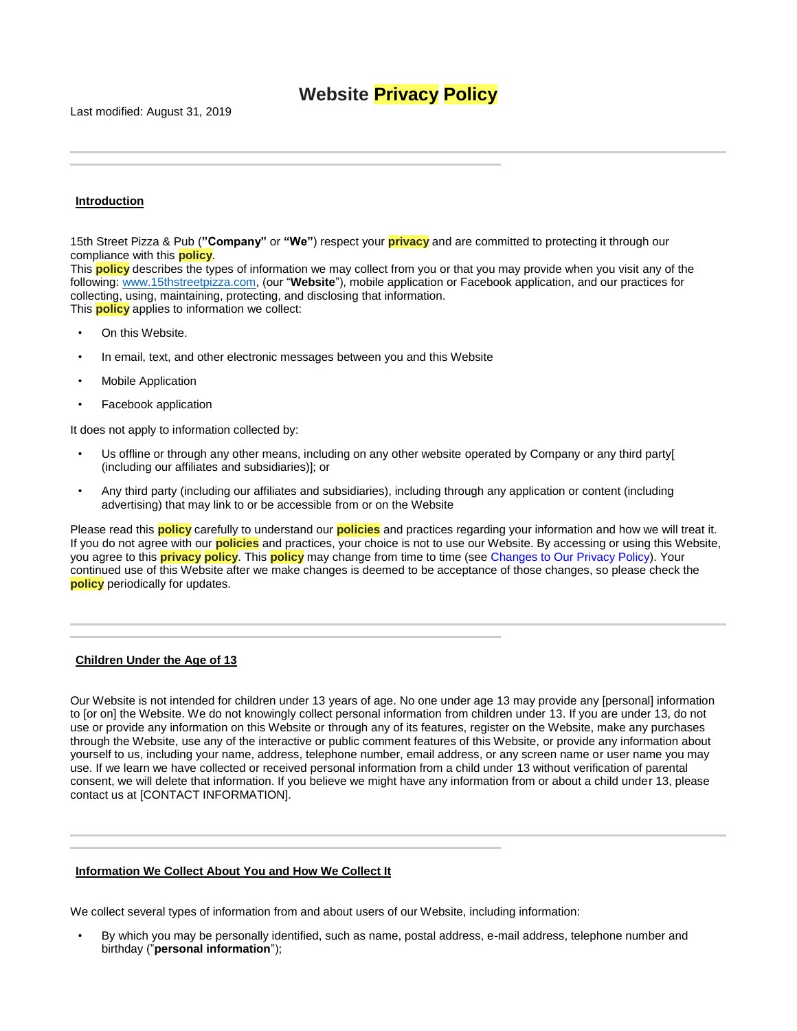## **Website Privacy Policy**

Last modified: August 31, 2019

## **Introduction**

l j

15th Street Pizza & Pub (**"Company"** or **"We"**) respect your **privacy** and are committed to protecting it through our compliance with this **policy**.

This **policy** describes the types of information we may collect from you or that you may provide when you visit any of the following: [www.15thstreetpizza.com,](http://www.15thstreetpizza.com/) (our "**Website**"), mobile application or Facebook application, and our practices for collecting, using, maintaining, protecting, and disclosing that information. This **policy** applies to information we collect:

- On this Website.
- In email, text, and other electronic messages between you and this Website
- Mobile Application
- Facebook application

It does not apply to information collected by:

- Us offline or through any other means, including on any other website operated by Company or any third party[ (including our affiliates and subsidiaries)]; or
- Any third party (including our affiliates and subsidiaries), including through any application or content (including advertising) that may link to or be accessible from or on the Website

Please read this **policy** carefully to understand our **policies** and practices regarding your information and how we will treat it. If you do not agree with our **policies** and practices, your choice is not to use our Website. By accessing or using this Website, you agree to this **privacy policy**. This **policy** may change from time to time (see [Changes to Our Privacy Policy\)](#page-3-0). Your continued use of this Website after we make changes is deemed to be acceptance of those changes, so please check the **policy** periodically for updates.

## **Children Under the Age of 13**

l j

l l

Our Website is not intended for children under 13 years of age. No one under age 13 may provide any [personal] information to [or on] the Website. We do not knowingly collect personal information from children under 13. If you are under 13, do not use or provide any information on this Website or through any of its features, register on the Website, make any purchases through the Website, use any of the interactive or public comment features of this Website, or provide any information about yourself to us, including your name, address, telephone number, email address, or any screen name or user name you may use. If we learn we have collected or received personal information from a child under 13 without verification of parental consent, we will delete that information. If you believe we might have any information from or about a child under 13, please contact us at [CONTACT INFORMATION].

#### **Information We Collect About You and How We Collect It**

We collect several types of information from and about users of our Website, including information:

• By which you may be personally identified, such as name, postal address, e-mail address, telephone number and birthday ("**personal information**");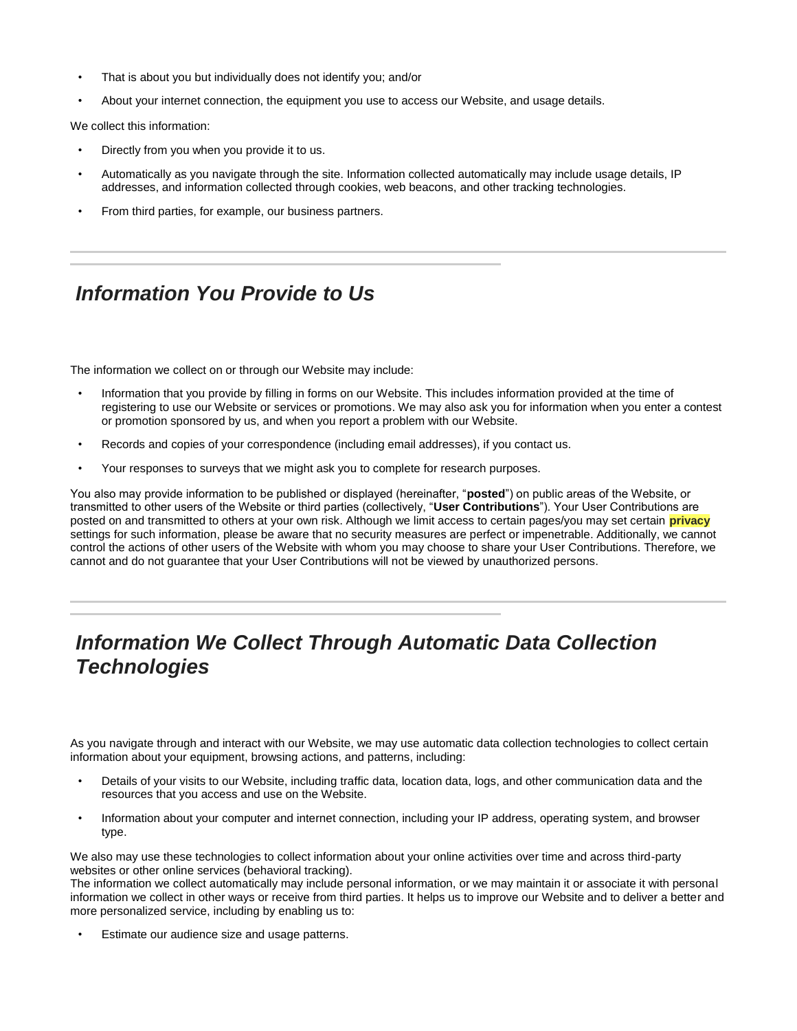- That is about you but individually does not identify you; and/or
- About your internet connection, the equipment you use to access our Website, and usage details.

We collect this information:

l j

l l

- Directly from you when you provide it to us.
- Automatically as you navigate through the site. Information collected automatically may include usage details, IP addresses, and information collected through cookies, web beacons, and other tracking technologies.
- From third parties, for example, our business partners.

# *Information You Provide to Us*

The information we collect on or through our Website may include:

- Information that you provide by filling in forms on our Website. This includes information provided at the time of registering to use our Website or services or promotions. We may also ask you for information when you enter a contest or promotion sponsored by us, and when you report a problem with our Website.
- Records and copies of your correspondence (including email addresses), if you contact us.
- Your responses to surveys that we might ask you to complete for research purposes.

You also may provide information to be published or displayed (hereinafter, "**posted**") on public areas of the Website, or transmitted to other users of the Website or third parties (collectively, "**User Contributions**"). Your User Contributions are posted on and transmitted to others at your own risk. Although we limit access to certain pages/you may set certain **privacy** settings for such information, please be aware that no security measures are perfect or impenetrable. Additionally, we cannot control the actions of other users of the Website with whom you may choose to share your User Contributions. Therefore, we cannot and do not guarantee that your User Contributions will not be viewed by unauthorized persons.

## *Information We Collect Through Automatic Data Collection Technologies*

As you navigate through and interact with our Website, we may use automatic data collection technologies to collect certain information about your equipment, browsing actions, and patterns, including:

- Details of your visits to our Website, including traffic data, location data, logs, and other communication data and the resources that you access and use on the Website.
- Information about your computer and internet connection, including your IP address, operating system, and browser type.

We also may use these technologies to collect information about your online activities over time and across third-party websites or other online services (behavioral tracking).

The information we collect automatically may include personal information, or we may maintain it or associate it with personal information we collect in other ways or receive from third parties. It helps us to improve our Website and to deliver a better and more personalized service, including by enabling us to:

Estimate our audience size and usage patterns.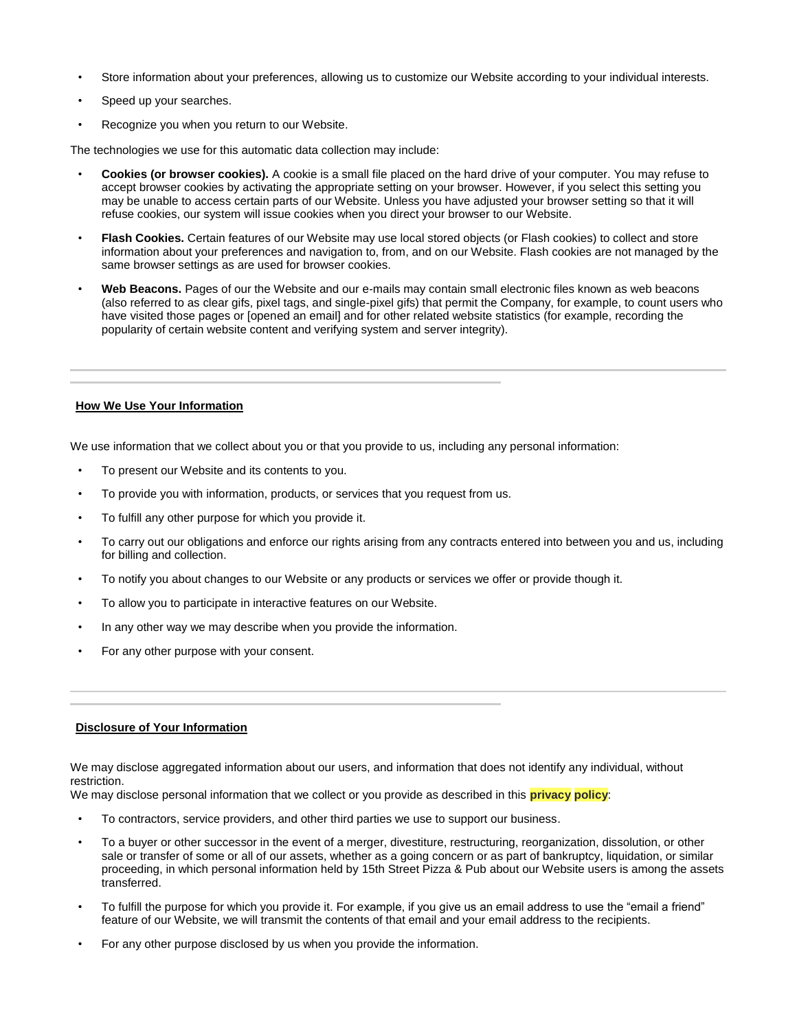- Store information about your preferences, allowing us to customize our Website according to your individual interests.
- Speed up your searches.
- Recognize you when you return to our Website.

The technologies we use for this automatic data collection may include:

- **Cookies (or browser cookies).** A cookie is a small file placed on the hard drive of your computer. You may refuse to accept browser cookies by activating the appropriate setting on your browser. However, if you select this setting you may be unable to access certain parts of our Website. Unless you have adjusted your browser setting so that it will refuse cookies, our system will issue cookies when you direct your browser to our Website.
- **Flash Cookies.** Certain features of our Website may use local stored objects (or Flash cookies) to collect and store information about your preferences and navigation to, from, and on our Website. Flash cookies are not managed by the same browser settings as are used for browser cookies.
- **Web Beacons.** Pages of our the Website and our e-mails may contain small electronic files known as web beacons (also referred to as clear gifs, pixel tags, and single-pixel gifs) that permit the Company, for example, to count users who have visited those pages or [opened an email] and for other related website statistics (for example, recording the popularity of certain website content and verifying system and server integrity).

#### **How We Use Your Information**

l İ

l j

We use information that we collect about you or that you provide to us, including any personal information:

- To present our Website and its contents to you.
- To provide you with information, products, or services that you request from us.
- To fulfill any other purpose for which you provide it.
- To carry out our obligations and enforce our rights arising from any contracts entered into between you and us, including for billing and collection.
- To notify you about changes to our Website or any products or services we offer or provide though it.
- To allow you to participate in interactive features on our Website.
- In any other way we may describe when you provide the information.
- For any other purpose with your consent.

#### **Disclosure of Your Information**

We may disclose aggregated information about our users, and information that does not identify any individual, without restriction.

We may disclose personal information that we collect or you provide as described in this **privacy policy**:

- To contractors, service providers, and other third parties we use to support our business.
- To a buyer or other successor in the event of a merger, divestiture, restructuring, reorganization, dissolution, or other sale or transfer of some or all of our assets, whether as a going concern or as part of bankruptcy, liquidation, or similar proceeding, in which personal information held by 15th Street Pizza & Pub about our Website users is among the assets transferred.
- To fulfill the purpose for which you provide it. For example, if you give us an email address to use the "email a friend" feature of our Website, we will transmit the contents of that email and your email address to the recipients.
- For any other purpose disclosed by us when you provide the information.